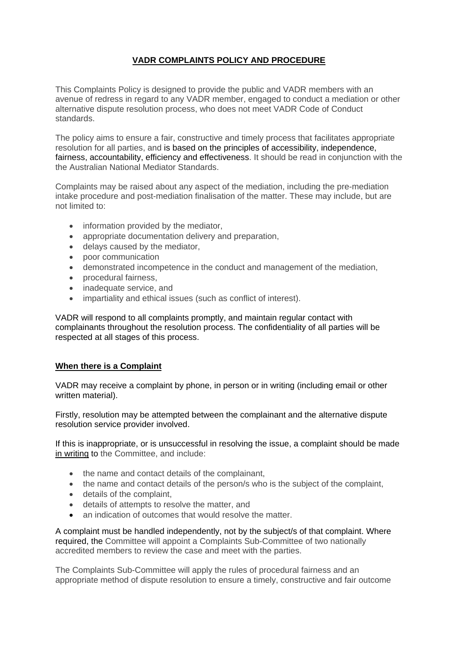# **VADR COMPLAINTS POLICY AND PROCEDURE**

This Complaints Policy is designed to provide the public and VADR members with an avenue of redress in regard to any VADR member, engaged to conduct a mediation or other alternative dispute resolution process, who does not meet VADR Code of Conduct standards.

The policy aims to ensure a fair, constructive and timely process that facilitates appropriate resolution for all parties, and is based on the principles of accessibility, independence, fairness, accountability, efficiency and effectiveness. It should be read in conjunction with the the Australian National Mediator Standards.

Complaints may be raised about any aspect of the mediation, including the pre-mediation intake procedure and post-mediation finalisation of the matter. These may include, but are not limited to:

- information provided by the mediator,
- appropriate documentation delivery and preparation,
- delays caused by the mediator,
- poor communication
- demonstrated incompetence in the conduct and management of the mediation,
- procedural fairness,
- inadequate service, and
- impartiality and ethical issues (such as conflict of interest).

VADR will respond to all complaints promptly, and maintain regular contact with complainants throughout the resolution process. The confidentiality of all parties will be respected at all stages of this process.

## **When there is a Complaint**

VADR may receive a complaint by phone, in person or in writing (including email or other written material).

Firstly, resolution may be attempted between the complainant and the alternative dispute resolution service provider involved.

If this is inappropriate, or is unsuccessful in resolving the issue, a complaint should be made in writing to the Committee, and include:

- the name and contact details of the complainant,
- the name and contact details of the person/s who is the subject of the complaint,
- details of the complaint,
- details of attempts to resolve the matter, and
- an indication of outcomes that would resolve the matter.

A complaint must be handled independently, not by the subject/s of that complaint. Where required, the Committee will appoint a Complaints Sub-Committee of two nationally accredited members to review the case and meet with the parties.

The Complaints Sub-Committee will apply the rules of procedural fairness and an appropriate method of dispute resolution to ensure a timely, constructive and fair outcome